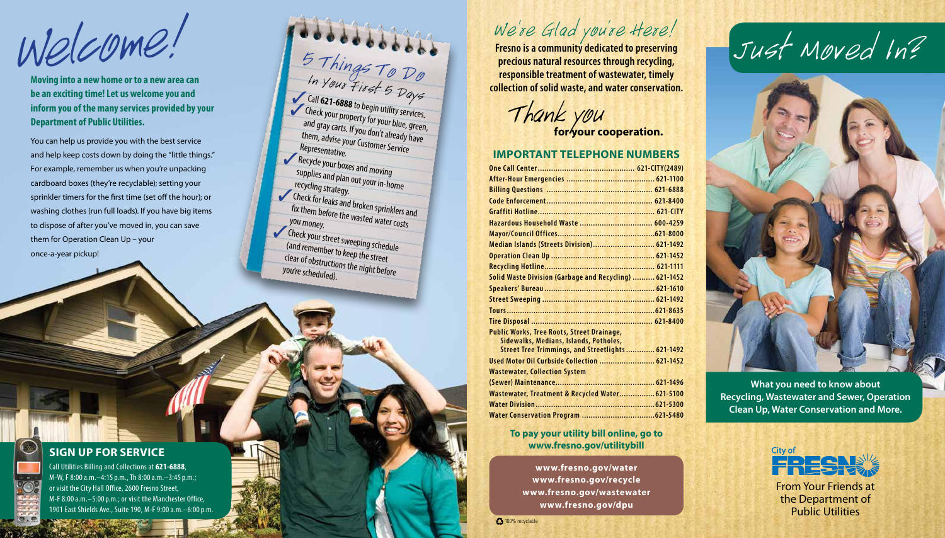## We 're Glad you're Here!

**Fresno is a community dedicated to preserving precious natural resources through recycling, responsible treatment of wastewater, timely collection of solid waste, and water conservation.**

Thank you<br>for your cooperation.

From Your Friends at the Department of Public Utilities

#### **IMPORTANT TELEPHONE NUMBERS**

| Hazardous Household Waste  600-4259                    |  |
|--------------------------------------------------------|--|
|                                                        |  |
| Median Islands (Streets Division) 621-1492             |  |
|                                                        |  |
|                                                        |  |
| Solid Waste Division (Garbage and Recycling)  621-1452 |  |
|                                                        |  |
|                                                        |  |
|                                                        |  |
|                                                        |  |
| <b>Public Works, Tree Roots, Street Drainage,</b>      |  |
| Sidewalks, Medians, Islands, Potholes,                 |  |
| Street Tree Trimmings, and Streetlights 621-1492       |  |
| Used Motor Oil Curbside Collection  621-1452           |  |
| <b>Wastewater, Collection System</b>                   |  |
|                                                        |  |
| Wastewater, Treatment & Recycled Water 621-5100        |  |
|                                                        |  |
|                                                        |  |

#### **To pay your utility bill online, go to www.fresno.gov/utilitybill**

5 Things To Do In Your First 5 Days **Call 621-6888** to begin utility services. Theck your property for your blue, green, and gray carts. If you don't already have them, advise your Customer Service Representative. Recycle your boxes and moving supplies and plan out your in-home recycling strategy. Theck for leaks and broken sprinklers and fix them before the wasted water costs<br>you money. ✓Check your street sweeping schedule (and remember to keep the street clear of obstructions the night before you're scheduled).

**SIGN UP FOR SERVICE**

Call Utilities Billing and Collections at **621-6888**, M-W, F 8:00 a.m.–4:15 p.m., Th 8:00 a.m.–3:45 p.m.; or visit the City Hall Office, 2600 Fresno Street, M-F 8:00 a.m.–5:00 p.m.; or visit the Manchester Office, 1901 East Shields Ave., Suite 190, M-F 9:00 a.m.–6:00 p.m.

 $WekCDME$ .<br> $MekCDME$ .  $5$ Thin 2008 and also a community dedicated to preserving Just Moved In?

**Moving into a new home or to a new area can be an exciting time! Let us welcome you and inform you of the many services provided by your Department of Public Utilities.**

You can help us provide you with the best service and help keep costs down by doing the "little things." For example, remember us when you're unpacking cardboard boxes (they're recyclable); setting your sprinkler timers for the first time (set off the hour); or washing clothes (run full loads). If you have big items to dispose of after you've moved in, you can save them for Operation Clean Up – your once-a-year pickup!

> **www.fresno.gov/water www.fresno.gov/recycle www.fresno.gov/wastewater www.fresno.gov/dpu**

**100% recyclable** 

**What you need to know about Recycling, Wastewater and Sewer, Operation Clean Up, Water Conservation and More.**